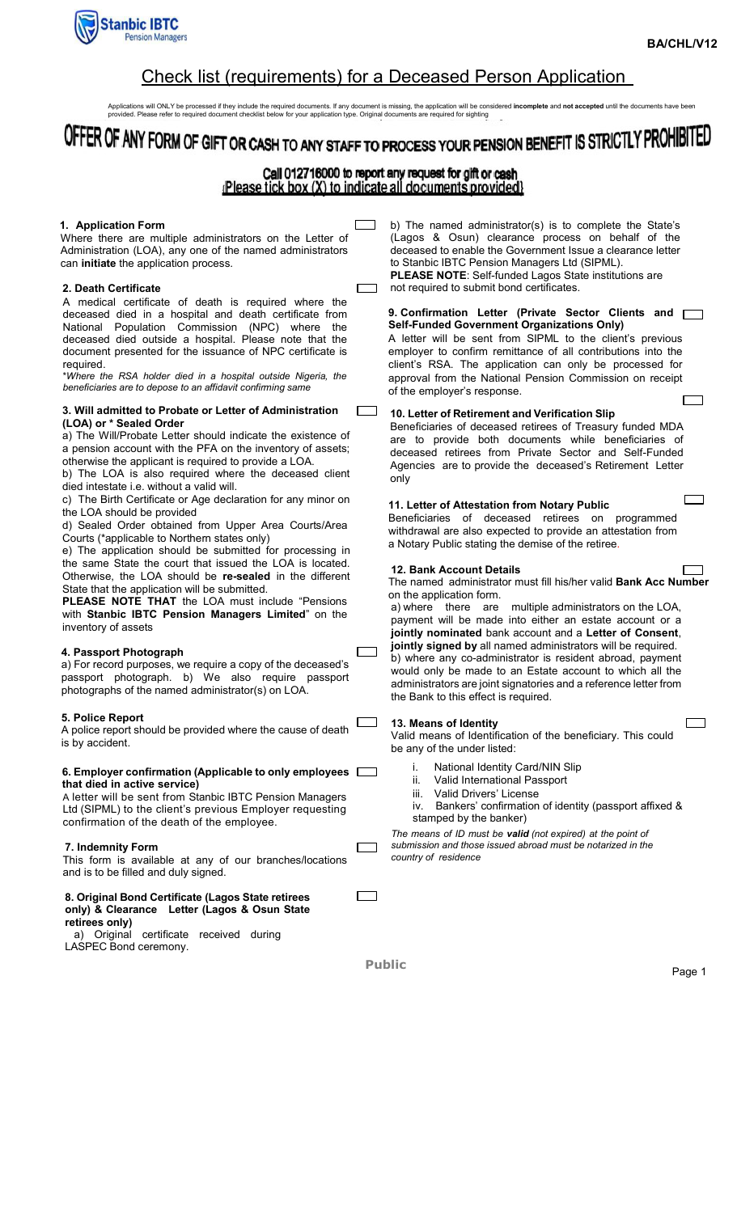

Г ┑

 $\Box$ 

### Check list (requirements) for a Deceased Person Application

Applications will ONLY be processed if they include the required documents. If any document is missing, the application will be considered **incomplete** and **not accepted** until the documents have been<br>provided. Please refe

# OFFER OF ANY FORM OF GIFT OR CASH TO ANY STAFF TO PROCESS YOUR PENSION BENEFIT IS STRICTLY PROHIBITED

## Call 012716000 to report any request for gift or cash<br>Please tick box (X) to indicate all documents provided}

Г

#### 1. Application Form

Where there are multiple administrators on the Letter of Administration (LOA), any one of the named administrators can initiate the application process.

#### 2. Death Certificate

A medical certificate of death is required where the deceased died in a hospital and death certificate from National Population Commission (NPC) where the deceased died outside a hospital. Please note that the document presented for the issuance of NPC certificate is required.

\*Where the RSA holder died in a hospital outside Nigeria, the beneficiaries are to depose to an affidavit confirming same

#### 3. Will admitted to Probate or Letter of Administration (LOA) or \* Sealed Order

a) The Will/Probate Letter should indicate the existence of a pension account with the PFA on the inventory of assets; otherwise the applicant is required to provide a LOA.

b) The LOA is also required where the deceased client died intestate i.e. without a valid will.

c) The Birth Certificate or Age declaration for any minor on the LOA should be provided

d) Sealed Order obtained from Upper Area Courts/Area Courts (\*applicable to Northern states only)

e) The application should be submitted for processing in the same State the court that issued the LOA is located. Otherwise, the LOA should be re-sealed in the different State that the application will be submitted.

PLEASE NOTE THAT the LOA must include "Pensions with Stanbic IBTC Pension Managers Limited" on the inventory of assets

#### 4. Passport Photograph

a) For record purposes, we require a copy of the deceased's passport photograph. b) We also require passport photographs of the named administrator(s) on LOA.

#### 5. Police Report

A police report should be provided where the cause of death is by accident.

#### 6. Employer confirmation (Applicable to only employees  $\Box$ that died in active service)

A letter will be sent from Stanbic IBTC Pension Managers Ltd (SIPML) to the client's previous Employer requesting confirmation of the death of the employee.

#### 7. Indemnity Form

This form is available at any of our branches/locations and is to be filled and duly signed.

#### 8. Original Bond Certificate (Lagos State retirees only) & Clearance Letter (Lagos & Osun State

retirees only) a) Original certificate received during

LASPEC Bond ceremony.

b) The named administrator(s) is to complete the State's (Lagos & Osun) clearance process on behalf of the deceased to enable the Government Issue a clearance letter to Stanbic IBTC Pension Managers Ltd (SIPML). PLEASE NOTE: Self-funded Lagos State institutions are not required to submit bond certificates.

9. Confirmation Letter (Private Sector Clients and  $\Box$ Self-Funded Government Organizations Only) A letter will be sent from SIPML to the client's previous employer to confirm remittance of all contributions into the

client's RSA. The application can only be processed for approval from the National Pension Commission on receipt of the employer's response. ſ

#### 10. Letter of Retirement and Verification Slip

Beneficiaries of deceased retirees of Treasury funded MDA are to provide both documents while beneficiaries of deceased retirees from Private Sector and Self-Funded Agencies are to provide the deceased's Retirement Letter only

#### 11. Letter of Attestation from Notary Public

Beneficiaries of deceased retirees on programmed withdrawal are also expected to provide an attestation from a Notary Public stating the demise of the retiree.

#### 12. Bank Account Details

The named administrator must fill his/her valid Bank Acc Number

on the application form.<br>a) where there are multiple administrators on the LOA, payment will be made into either an estate account or a jointly nominated bank account and a Letter of Consent, jointly signed by all named administrators will be required. b) where any co-administrator is resident abroad, payment would only be made to an Estate account to which all the administrators are joint signatories and a reference letter from the Bank to this effect is required.

#### 13. Means of Identity

Valid means of Identification of the beneficiary. This could be any of the under listed:

- National Identity Card/NIN Slip
- ii. Valid International Passport
- iii. Valid Drivers' License
- iv. Bankers' confirmation of identity (passport affixed & stamped by the banker)

The means of ID must be valid (not expired) at the point of submission and those issued abroad must be notarized in the country of residence

Public Public Research of the Page 1

Г

Г